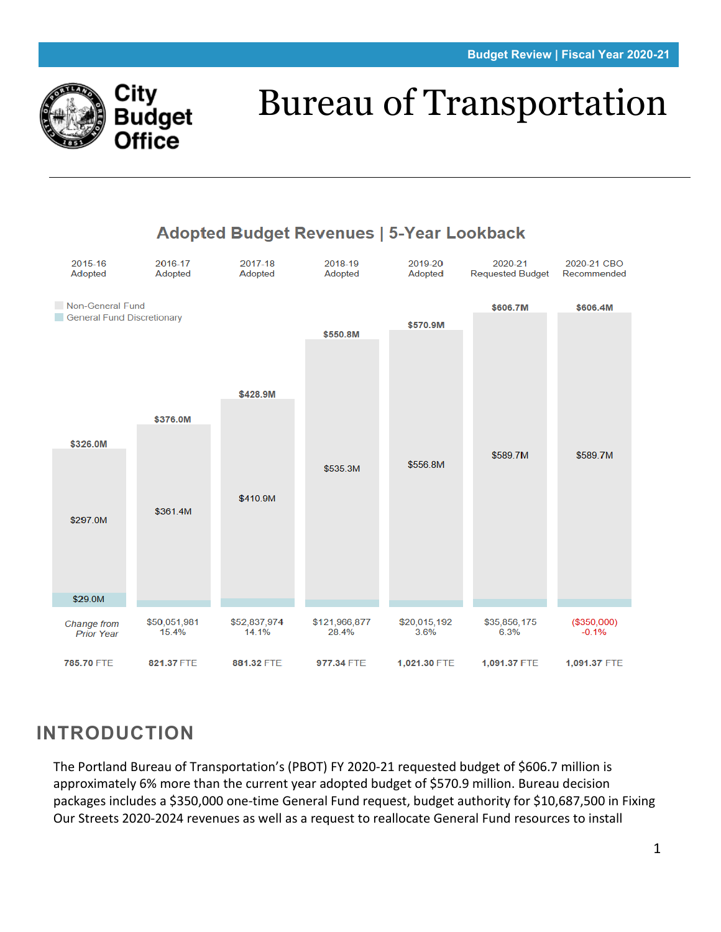

# Bureau of Transportation



# **INTRODUCTION**

The Portland Bureau of Transportation's (PBOT) FY 2020-21 requested budget of \$606.7 million is approximately 6% more than the current year adopted budget of \$570.9 million. Bureau decision packages includes a \$350,000 one-time General Fund request, budget authority for \$10,687,500 in Fixing Our Streets 2020-2024 revenues as well as a request to reallocate General Fund resources to install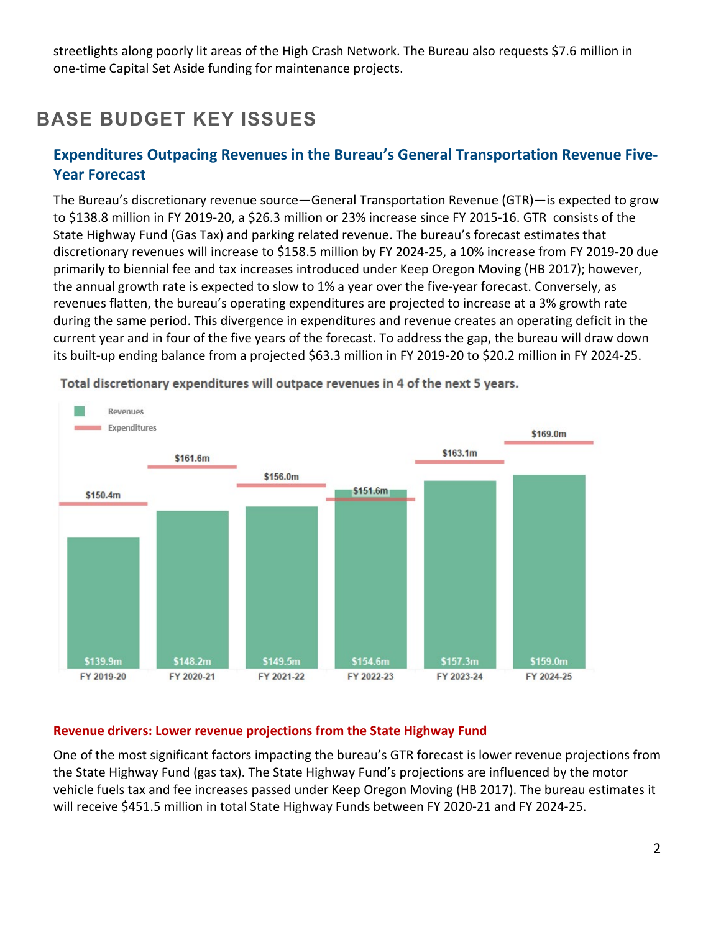streetlights along poorly lit areas of the High Crash Network. The Bureau also requests \$7.6 million in one-time Capital Set Aside funding for maintenance projects.

# **BASE BUDGET KEY ISSUES**

# **Expenditures Outpacing Revenues in the Bureau's General Transportation Revenue Five-Year Forecast**

The Bureau's discretionary revenue source—General Transportation Revenue (GTR)—is expected to grow to \$138.8 million in FY 2019-20, a \$26.3 million or 23% increase since FY 2015-16. GTR consists of the State Highway Fund (Gas Tax) and parking related revenue. The bureau's forecast estimates that discretionary revenues will increase to \$158.5 million by FY 2024-25, a 10% increase from FY 2019-20 due primarily to biennial fee and tax increases introduced under Keep Oregon Moving (HB 2017); however, the annual growth rate is expected to slow to 1% a year over the five-year forecast. Conversely, as revenues flatten, the bureau's operating expenditures are projected to increase at a 3% growth rate during the same period. This divergence in expenditures and revenue creates an operating deficit in the current year and in four of the five years of the forecast. To address the gap, the bureau will draw down its built-up ending balance from a projected \$63.3 million in FY 2019-20 to \$20.2 million in FY 2024-25.



Total discretionary expenditures will outpace revenues in 4 of the next 5 years.

#### **Revenue drivers: Lower revenue projections from the State Highway Fund**

One of the most significant factors impacting the bureau's GTR forecast is lower revenue projections from the State Highway Fund (gas tax). The State Highway Fund's projections are influenced by the motor vehicle fuels tax and fee increases passed under Keep Oregon Moving (HB 2017). The bureau estimates it will receive \$451.5 million in total State Highway Funds between FY 2020-21 and FY 2024-25.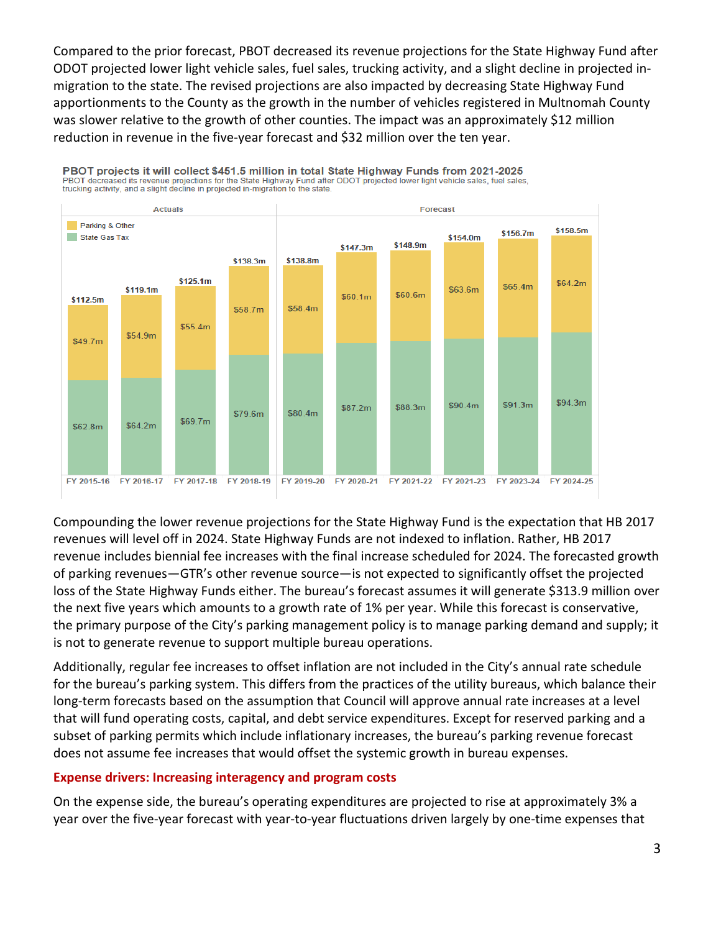Compared to the prior forecast, PBOT decreased its revenue projections for the State Highway Fund after ODOT projected lower light vehicle sales, fuel sales, trucking activity, and a slight decline in projected inmigration to the state. The revised projections are also impacted by decreasing State Highway Fund apportionments to the County as the growth in the number of vehicles registered in Multnomah County was slower relative to the growth of other counties. The impact was an approximately \$12 million reduction in revenue in the five-year forecast and \$32 million over the ten year.



Compounding the lower revenue projections for the State Highway Fund is the expectation that HB 2017 revenues will level off in 2024. State Highway Funds are not indexed to inflation. Rather, HB 2017 revenue includes biennial fee increases with the final increase scheduled for 2024. The forecasted growth of parking revenues—GTR's other revenue source—is not expected to significantly offset the projected loss of the State Highway Funds either. The bureau's forecast assumes it will generate \$313.9 million over the next five years which amounts to a growth rate of 1% per year. While this forecast is conservative, the primary purpose of the City's parking management policy is to manage parking demand and supply; it is not to generate revenue to support multiple bureau operations.

Additionally, regular fee increases to offset inflation are not included in the City's annual rate schedule for the bureau's parking system. This differs from the practices of the utility bureaus, which balance their long-term forecasts based on the assumption that Council will approve annual rate increases at a level that will fund operating costs, capital, and debt service expenditures. Except for reserved parking and a subset of parking permits which include inflationary increases, the bureau's parking revenue forecast does not assume fee increases that would offset the systemic growth in bureau expenses.

#### **Expense drivers: Increasing interagency and program costs**

On the expense side, the bureau's operating expenditures are projected to rise at approximately 3% a year over the five-year forecast with year-to-year fluctuations driven largely by one-time expenses that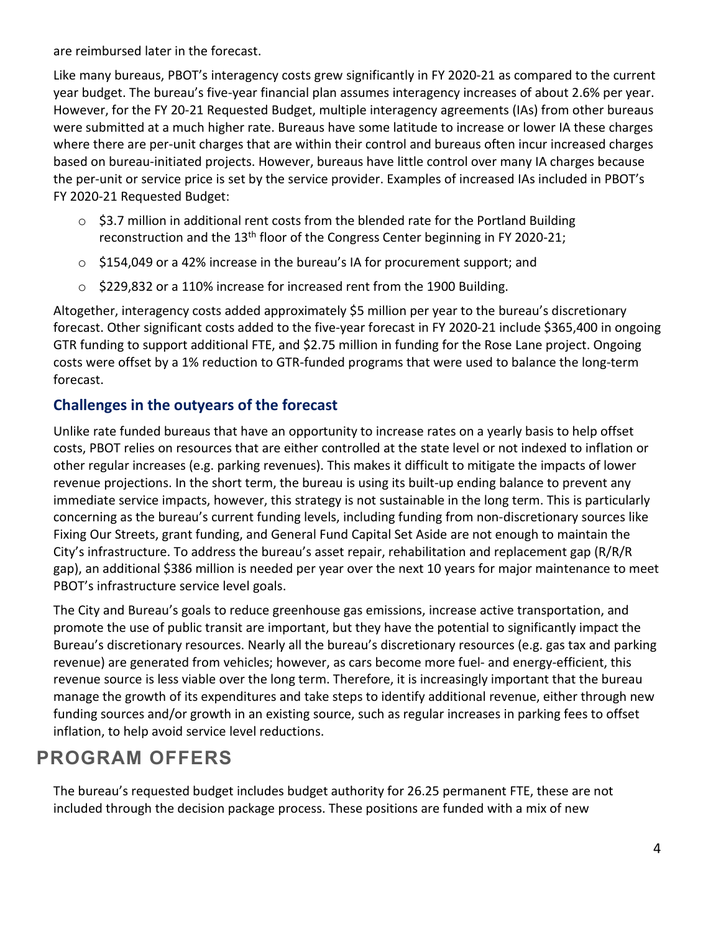are reimbursed later in the forecast.

Like many bureaus, PBOT's interagency costs grew significantly in FY 2020-21 as compared to the current year budget. The bureau's five-year financial plan assumes interagency increases of about 2.6% per year. However, for the FY 20-21 Requested Budget, multiple interagency agreements (IAs) from other bureaus were submitted at a much higher rate. Bureaus have some latitude to increase or lower IA these charges where there are per-unit charges that are within their control and bureaus often incur increased charges based on bureau-initiated projects. However, bureaus have little control over many IA charges because the per-unit or service price is set by the service provider. Examples of increased IAs included in PBOT's FY 2020-21 Requested Budget:

- o \$3.7 million in additional rent costs from the blended rate for the Portland Building reconstruction and the 13<sup>th</sup> floor of the Congress Center beginning in FY 2020-21;
- o \$154,049 or a 42% increase in the bureau's IA for procurement support; and
- o \$229,832 or a 110% increase for increased rent from the 1900 Building.

Altogether, interagency costs added approximately \$5 million per year to the bureau's discretionary forecast. Other significant costs added to the five-year forecast in FY 2020-21 include \$365,400 in ongoing GTR funding to support additional FTE, and \$2.75 million in funding for the Rose Lane project. Ongoing costs were offset by a 1% reduction to GTR-funded programs that were used to balance the long-term forecast.

# **Challenges in the outyears of the forecast**

Unlike rate funded bureaus that have an opportunity to increase rates on a yearly basis to help offset costs, PBOT relies on resources that are either controlled at the state level or not indexed to inflation or other regular increases (e.g. parking revenues). This makes it difficult to mitigate the impacts of lower revenue projections. In the short term, the bureau is using its built-up ending balance to prevent any immediate service impacts, however, this strategy is not sustainable in the long term. This is particularly concerning as the bureau's current funding levels, including funding from non-discretionary sources like Fixing Our Streets, grant funding, and General Fund Capital Set Aside are not enough to maintain the City's infrastructure. To address the bureau's asset repair, rehabilitation and replacement gap (R/R/R gap), an additional \$386 million is needed per year over the next 10 years for major maintenance to meet PBOT's infrastructure service level goals.

The City and Bureau's goals to reduce greenhouse gas emissions, increase active transportation, and promote the use of public transit are important, but they have the potential to significantly impact the Bureau's discretionary resources. Nearly all the bureau's discretionary resources (e.g. gas tax and parking revenue) are generated from vehicles; however, as cars become more fuel- and energy-efficient, this revenue source is less viable over the long term. Therefore, it is increasingly important that the bureau manage the growth of its expenditures and take steps to identify additional revenue, either through new funding sources and/or growth in an existing source, such as regular increases in parking fees to offset inflation, to help avoid service level reductions.

# **PROGRAM OFFERS**

The bureau's requested budget includes budget authority for 26.25 permanent FTE, these are not included through the decision package process. These positions are funded with a mix of new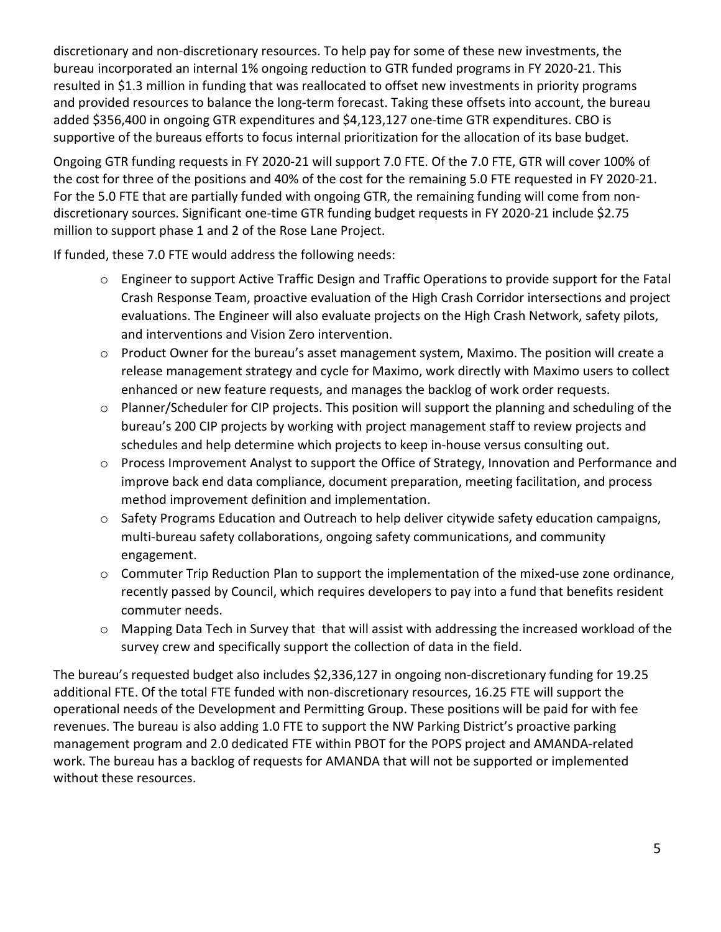discretionary and non-discretionary resources. To help pay for some of these new investments, the bureau incorporated an internal 1% ongoing reduction to GTR funded programs in FY 2020-21. This resulted in \$1.3 million in funding that was reallocated to offset new investments in priority programs and provided resources to balance the long-term forecast. Taking these offsets into account, the bureau added \$356,400 in ongoing GTR expenditures and \$4,123,127 one-time GTR expenditures. CBO is supportive of the bureaus efforts to focus internal prioritization for the allocation of its base budget.

Ongoing GTR funding requests in FY 2020-21 will support 7.0 FTE. Of the 7.0 FTE, GTR will cover 100% of the cost for three of the positions and 40% of the cost for the remaining 5.0 FTE requested in FY 2020-21. For the 5.0 FTE that are partially funded with ongoing GTR, the remaining funding will come from nondiscretionary sources. Significant one-time GTR funding budget requests in FY 2020-21 include \$2.75 million to support phase 1 and 2 of the Rose Lane Project.

If funded, these 7.0 FTE would address the following needs:

- $\circ$  Engineer to support Active Traffic Design and Traffic Operations to provide support for the Fatal Crash Response Team, proactive evaluation of the High Crash Corridor intersections and project evaluations. The Engineer will also evaluate projects on the High Crash Network, safety pilots, and interventions and Vision Zero intervention.
- o Product Owner for the bureau's asset management system, Maximo. The position will create a release management strategy and cycle for Maximo, work directly with Maximo users to collect enhanced or new feature requests, and manages the backlog of work order requests.
- o Planner/Scheduler for CIP projects. This position will support the planning and scheduling of the bureau's 200 CIP projects by working with project management staff to review projects and schedules and help determine which projects to keep in-house versus consulting out.
- o Process Improvement Analyst to support the Office of Strategy, Innovation and Performance and improve back end data compliance, document preparation, meeting facilitation, and process method improvement definition and implementation.
- o Safety Programs Education and Outreach to help deliver citywide safety education campaigns, multi-bureau safety collaborations, ongoing safety communications, and community engagement.
- $\circ$  Commuter Trip Reduction Plan to support the implementation of the mixed-use zone ordinance, recently passed by Council, which requires developers to pay into a fund that benefits resident commuter needs.
- o Mapping Data Tech in Survey that that will assist with addressing the increased workload of the survey crew and specifically support the collection of data in the field.

The bureau's requested budget also includes \$2,336,127 in ongoing non-discretionary funding for 19.25 additional FTE. Of the total FTE funded with non-discretionary resources, 16.25 FTE will support the operational needs of the Development and Permitting Group. These positions will be paid for with fee revenues. The bureau is also adding 1.0 FTE to support the NW Parking District's proactive parking management program and 2.0 dedicated FTE within PBOT for the POPS project and AMANDA-related work. The bureau has a backlog of requests for AMANDA that will not be supported or implemented without these resources.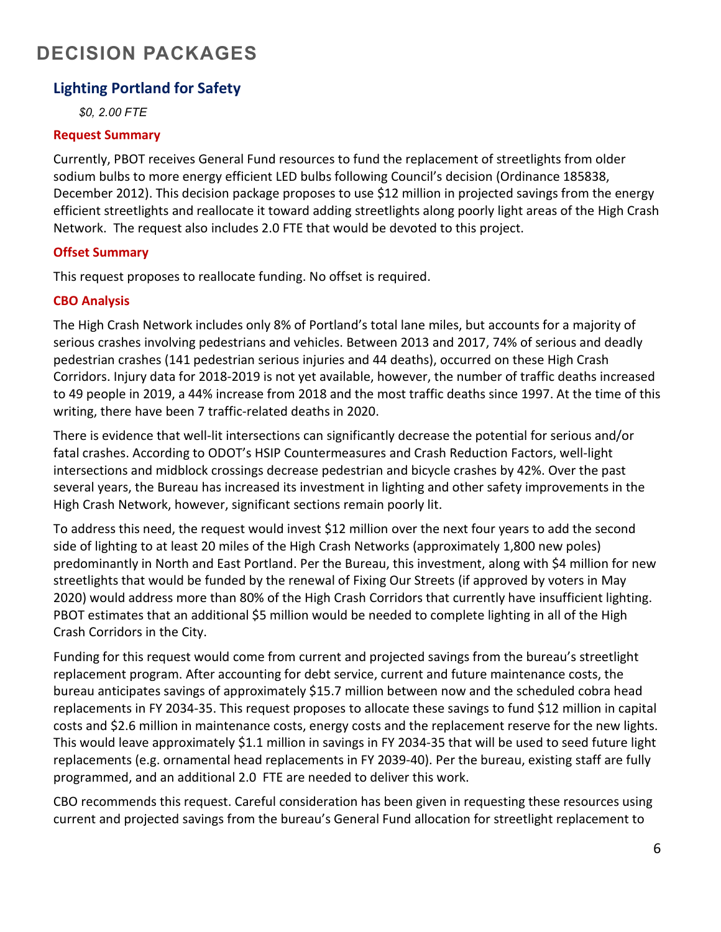# **DECISION PACKAGES**

# **Lighting Portland for Safety**

*\$0, 2.00 FTE*

#### **Request Summary**

Currently, PBOT receives General Fund resources to fund the replacement of streetlights from older sodium bulbs to more energy efficient LED bulbs following Council's decision (Ordinance 185838, December 2012). This decision package proposes to use \$12 million in projected savings from the energy efficient streetlights and reallocate it toward adding streetlights along poorly light areas of the High Crash Network. The request also includes 2.0 FTE that would be devoted to this project.

## **Offset Summary**

This request proposes to reallocate funding. No offset is required.

# **CBO Analysis**

The High Crash Network includes only 8% of Portland's total lane miles, but accounts for a majority of serious crashes involving pedestrians and vehicles. Between 2013 and 2017, 74% of serious and deadly pedestrian crashes (141 pedestrian serious injuries and 44 deaths), occurred on these High Crash Corridors. Injury data for 2018-2019 is not yet available, however, the number of traffic deaths increased to 49 people in 2019, a 44% increase from 2018 and the most traffic deaths since 1997. At the time of this writing, there have been 7 traffic-related deaths in 2020.

There is evidence that well-lit intersections can significantly decrease the potential for serious and/or fatal crashes. According to ODOT's HSIP Countermeasures and Crash Reduction Factors, well-light intersections and midblock crossings decrease pedestrian and bicycle crashes by 42%. Over the past several years, the Bureau has increased its investment in lighting and other safety improvements in the High Crash Network, however, significant sections remain poorly lit.

To address this need, the request would invest \$12 million over the next four years to add the second side of lighting to at least 20 miles of the High Crash Networks (approximately 1,800 new poles) predominantly in North and East Portland. Per the Bureau, this investment, along with \$4 million for new streetlights that would be funded by the renewal of Fixing Our Streets (if approved by voters in May 2020) would address more than 80% of the High Crash Corridors that currently have insufficient lighting. PBOT estimates that an additional \$5 million would be needed to complete lighting in all of the High Crash Corridors in the City.

Funding for this request would come from current and projected savings from the bureau's streetlight replacement program. After accounting for debt service, current and future maintenance costs, the bureau anticipates savings of approximately \$15.7 million between now and the scheduled cobra head replacements in FY 2034-35. This request proposes to allocate these savings to fund \$12 million in capital costs and \$2.6 million in maintenance costs, energy costs and the replacement reserve for the new lights. This would leave approximately \$1.1 million in savings in FY 2034-35 that will be used to seed future light replacements (e.g. ornamental head replacements in FY 2039-40). Per the bureau, existing staff are fully programmed, and an additional 2.0 FTE are needed to deliver this work.

CBO recommends this request. Careful consideration has been given in requesting these resources using current and projected savings from the bureau's General Fund allocation for streetlight replacement to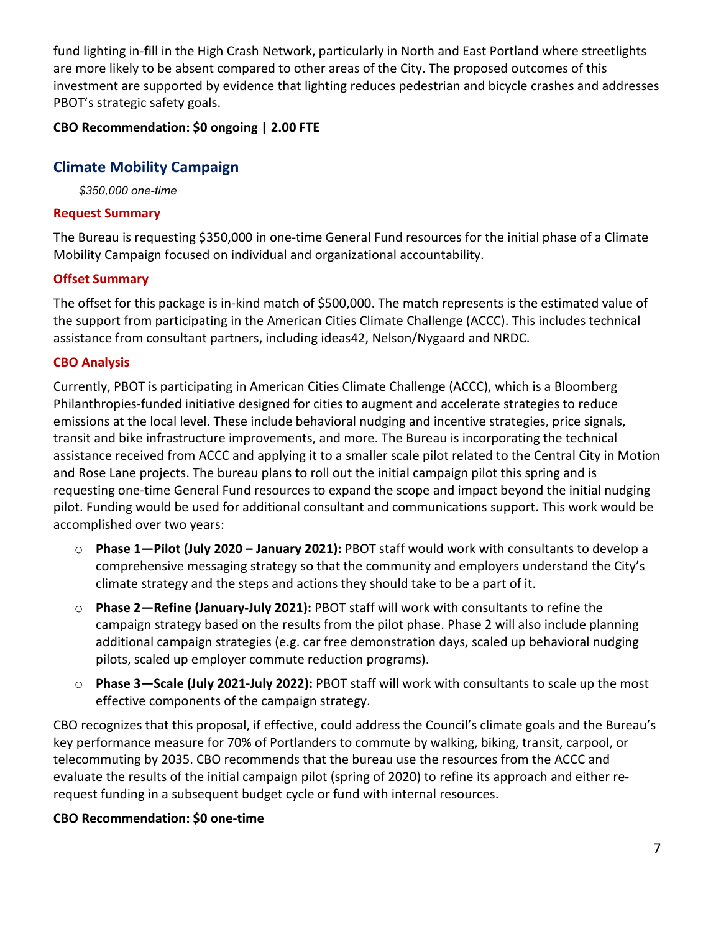fund lighting in-fill in the High Crash Network, particularly in North and East Portland where streetlights are more likely to be absent compared to other areas of the City. The proposed outcomes of this investment are supported by evidence that lighting reduces pedestrian and bicycle crashes and addresses PBOT's strategic safety goals.

# **CBO Recommendation: \$0 ongoing | 2.00 FTE**

# **Climate Mobility Campaign**

*\$350,000 one-time* 

## **Request Summary**

The Bureau is requesting \$350,000 in one-time General Fund resources for the initial phase of a Climate Mobility Campaign focused on individual and organizational accountability.

# **Offset Summary**

The offset for this package is in-kind match of \$500,000. The match represents is the estimated value of the support from participating in the American Cities Climate Challenge (ACCC). This includes technical assistance from consultant partners, including ideas42, Nelson/Nygaard and NRDC.

# **CBO Analysis**

Currently, PBOT is participating in American Cities Climate Challenge (ACCC), which is a Bloomberg Philanthropies-funded initiative designed for cities to augment and accelerate strategies to reduce emissions at the local level. These include behavioral nudging and incentive strategies, price signals, transit and bike infrastructure improvements, and more. The Bureau is incorporating the technical assistance received from ACCC and applying it to a smaller scale pilot related to the Central City in Motion and Rose Lane projects. The bureau plans to roll out the initial campaign pilot this spring and is requesting one-time General Fund resources to expand the scope and impact beyond the initial nudging pilot. Funding would be used for additional consultant and communications support. This work would be accomplished over two years:

- o **Phase 1—Pilot (July 2020 – January 2021):** PBOT staff would work with consultants to develop a comprehensive messaging strategy so that the community and employers understand the City's climate strategy and the steps and actions they should take to be a part of it.
- o **Phase 2—Refine (January-July 2021):** PBOT staff will work with consultants to refine the campaign strategy based on the results from the pilot phase. Phase 2 will also include planning additional campaign strategies (e.g. car free demonstration days, scaled up behavioral nudging pilots, scaled up employer commute reduction programs).
- o **Phase 3—Scale (July 2021-July 2022):** PBOT staff will work with consultants to scale up the most effective components of the campaign strategy.

CBO recognizes that this proposal, if effective, could address the Council's climate goals and the Bureau's key performance measure for 70% of Portlanders to commute by walking, biking, transit, carpool, or telecommuting by 2035. CBO recommends that the bureau use the resources from the ACCC and evaluate the results of the initial campaign pilot (spring of 2020) to refine its approach and either rerequest funding in a subsequent budget cycle or fund with internal resources.

## **CBO Recommendation: \$0 one-time**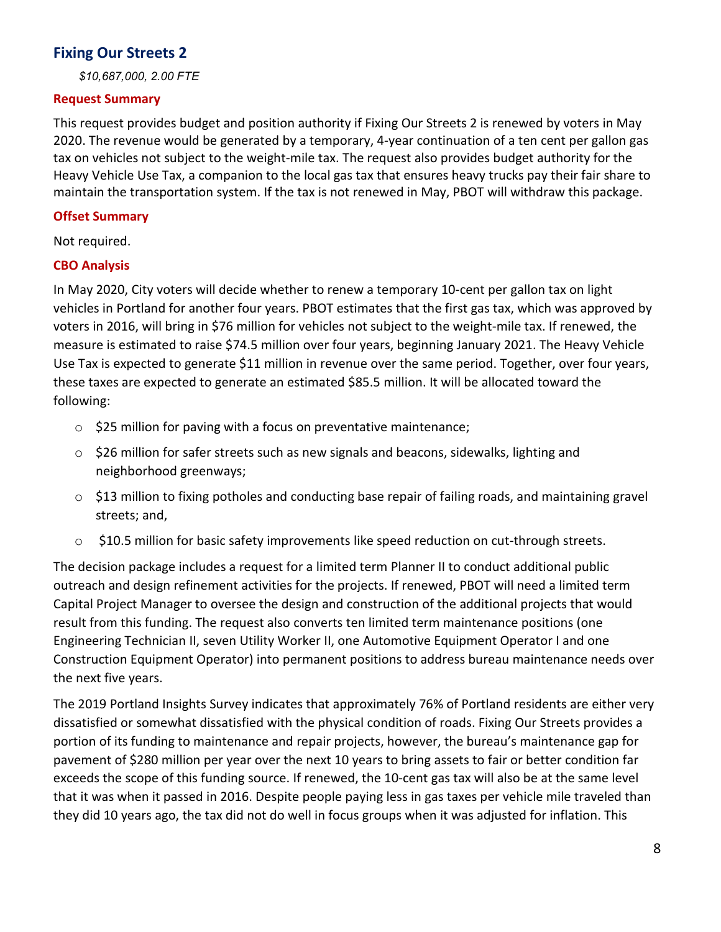# **Fixing Our Streets 2**

*\$10,687,000, 2.00 FTE*

#### **Request Summary**

This request provides budget and position authority if Fixing Our Streets 2 is renewed by voters in May 2020. The revenue would be generated by a temporary, 4-year continuation of a ten cent per gallon gas tax on vehicles not subject to the weight-mile tax. The request also provides budget authority for the Heavy Vehicle Use Tax, a companion to the local gas tax that ensures heavy trucks pay their fair share to maintain the transportation system. If the tax is not renewed in May, PBOT will withdraw this package.

## **Offset Summary**

Not required.

# **CBO Analysis**

In May 2020, City voters will decide whether to renew a temporary 10-cent per gallon tax on light vehicles in Portland for another four years. PBOT estimates that the first gas tax, which was approved by voters in 2016, will bring in \$76 million for vehicles not subject to the weight-mile tax. If renewed, the measure is estimated to raise \$74.5 million over four years, beginning January 2021. The Heavy Vehicle Use Tax is expected to generate \$11 million in revenue over the same period. Together, over four years, these taxes are expected to generate an estimated \$85.5 million. It will be allocated toward the following:

- o \$25 million for paving with a focus on preventative maintenance;
- o \$26 million for safer streets such as new signals and beacons, sidewalks, lighting and neighborhood greenways;
- $\circ$  \$13 million to fixing potholes and conducting base repair of failing roads, and maintaining gravel streets; and,
- o \$10.5 million for basic safety improvements like speed reduction on cut-through streets.

The decision package includes a request for a limited term Planner II to conduct additional public outreach and design refinement activities for the projects. If renewed, PBOT will need a limited term Capital Project Manager to oversee the design and construction of the additional projects that would result from this funding. The request also converts ten limited term maintenance positions (one Engineering Technician II, seven Utility Worker II, one Automotive Equipment Operator I and one Construction Equipment Operator) into permanent positions to address bureau maintenance needs over the next five years.

The 2019 Portland Insights Survey indicates that approximately 76% of Portland residents are either very dissatisfied or somewhat dissatisfied with the physical condition of roads. Fixing Our Streets provides a portion of its funding to maintenance and repair projects, however, the bureau's maintenance gap for pavement of \$280 million per year over the next 10 years to bring assets to fair or better condition far exceeds the scope of this funding source. If renewed, the 10-cent gas tax will also be at the same level that it was when it passed in 2016. Despite people paying less in gas taxes per vehicle mile traveled than they did 10 years ago, the tax did not do well in focus groups when it was adjusted for inflation. This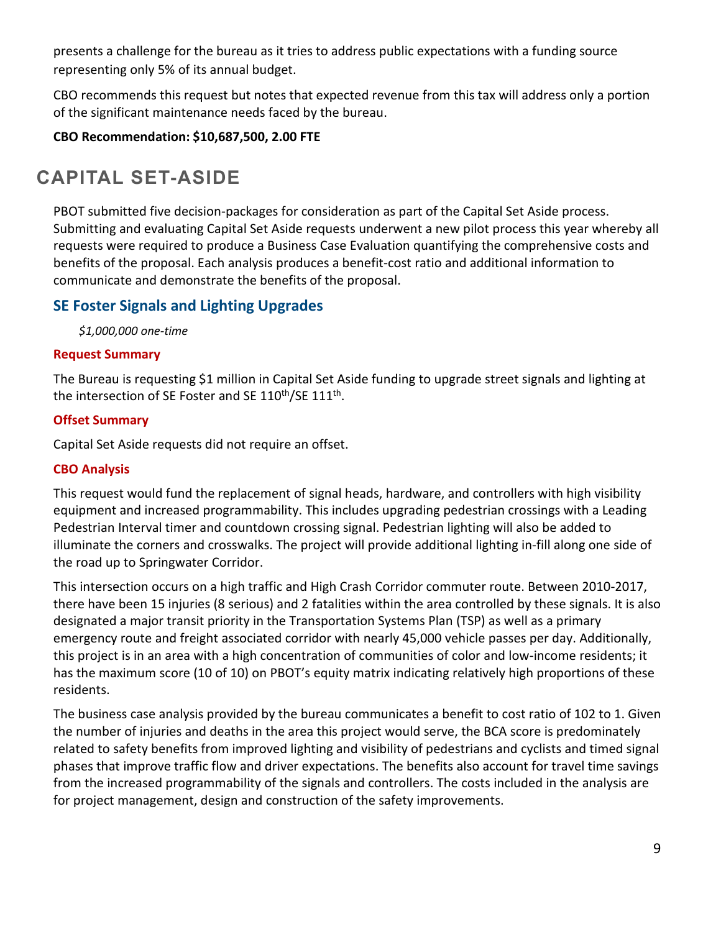presents a challenge for the bureau as it tries to address public expectations with a funding source representing only 5% of its annual budget.

CBO recommends this request but notes that expected revenue from this tax will address only a portion of the significant maintenance needs faced by the bureau.

**CBO Recommendation: \$10,687,500, 2.00 FTE** 

# **CAPITAL SET-ASIDE**

PBOT submitted five decision-packages for consideration as part of the Capital Set Aside process. Submitting and evaluating Capital Set Aside requests underwent a new pilot process this year whereby all requests were required to produce a Business Case Evaluation quantifying the comprehensive costs and benefits of the proposal. Each analysis produces a benefit-cost ratio and additional information to communicate and demonstrate the benefits of the proposal.

# **SE Foster Signals and Lighting Upgrades**

*\$1,000,000 one-time*

# **Request Summary**

The Bureau is requesting \$1 million in Capital Set Aside funding to upgrade street signals and lighting at the intersection of SE Foster and SE  $110^{th}/SE$   $111^{th}$ .

# **Offset Summary**

Capital Set Aside requests did not require an offset.

# **CBO Analysis**

This request would fund the replacement of signal heads, hardware, and controllers with high visibility equipment and increased programmability. This includes upgrading pedestrian crossings with a Leading Pedestrian Interval timer and countdown crossing signal. Pedestrian lighting will also be added to illuminate the corners and crosswalks. The project will provide additional lighting in-fill along one side of the road up to Springwater Corridor.

This intersection occurs on a high traffic and High Crash Corridor commuter route. Between 2010-2017, there have been 15 injuries (8 serious) and 2 fatalities within the area controlled by these signals. It is also designated a major transit priority in the Transportation Systems Plan (TSP) as well as a primary emergency route and freight associated corridor with nearly 45,000 vehicle passes per day. Additionally, this project is in an area with a high concentration of communities of color and low-income residents; it has the maximum score (10 of 10) on PBOT's equity matrix indicating relatively high proportions of these residents.

The business case analysis provided by the bureau communicates a benefit to cost ratio of 102 to 1. Given the number of injuries and deaths in the area this project would serve, the BCA score is predominately related to safety benefits from improved lighting and visibility of pedestrians and cyclists and timed signal phases that improve traffic flow and driver expectations. The benefits also account for travel time savings from the increased programmability of the signals and controllers. The costs included in the analysis are for project management, design and construction of the safety improvements.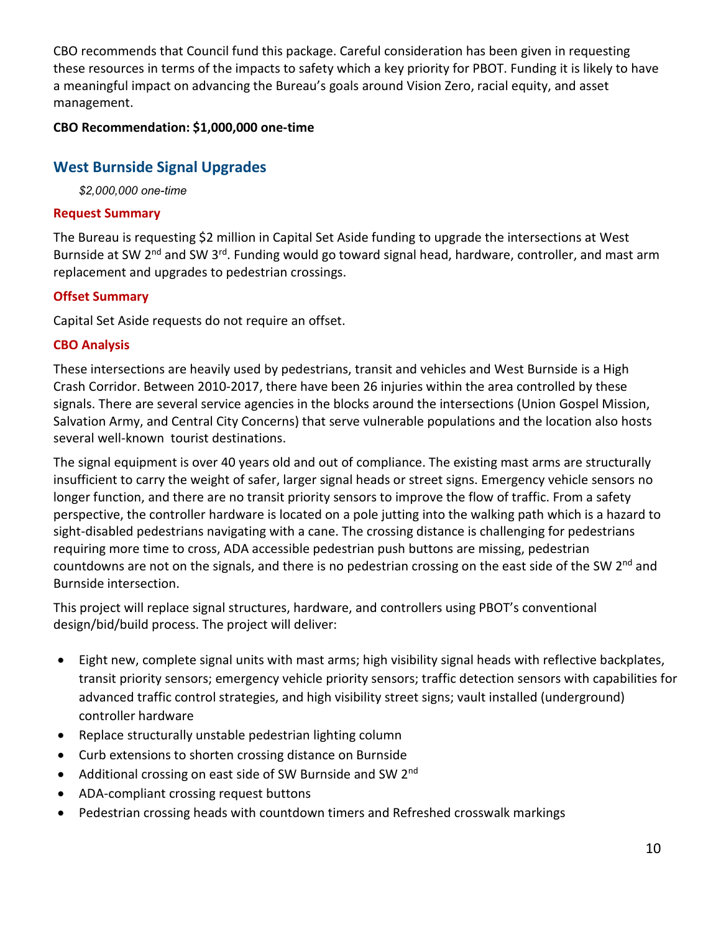CBO recommends that Council fund this package. Careful consideration has been given in requesting these resources in terms of the impacts to safety which a key priority for PBOT. Funding it is likely to have a meaningful impact on advancing the Bureau's goals around Vision Zero, racial equity, and asset management.

# **CBO Recommendation: \$1,000,000 one-time**

# **West Burnside Signal Upgrades**

*\$2,000,000 one-time*

## **Request Summary**

The Bureau is requesting \$2 million in Capital Set Aside funding to upgrade the intersections at West Burnside at SW 2<sup>nd</sup> and SW 3<sup>rd</sup>. Funding would go toward signal head, hardware, controller, and mast arm replacement and upgrades to pedestrian crossings.

# **Offset Summary**

Capital Set Aside requests do not require an offset.

# **CBO Analysis**

These intersections are heavily used by pedestrians, transit and vehicles and West Burnside is a High Crash Corridor. Between 2010-2017, there have been 26 injuries within the area controlled by these signals. There are several service agencies in the blocks around the intersections (Union Gospel Mission, Salvation Army, and Central City Concerns) that serve vulnerable populations and the location also hosts several well-known tourist destinations.

The signal equipment is over 40 years old and out of compliance. The existing mast arms are structurally insufficient to carry the weight of safer, larger signal heads or street signs. Emergency vehicle sensors no longer function, and there are no transit priority sensors to improve the flow of traffic. From a safety perspective, the controller hardware is located on a pole jutting into the walking path which is a hazard to sight-disabled pedestrians navigating with a cane. The crossing distance is challenging for pedestrians requiring more time to cross, ADA accessible pedestrian push buttons are missing, pedestrian countdowns are not on the signals, and there is no pedestrian crossing on the east side of the SW 2<sup>nd</sup> and Burnside intersection.

This project will replace signal structures, hardware, and controllers using PBOT's conventional design/bid/build process. The project will deliver:

- Eight new, complete signal units with mast arms; high visibility signal heads with reflective backplates, transit priority sensors; emergency vehicle priority sensors; traffic detection sensors with capabilities for advanced traffic control strategies, and high visibility street signs; vault installed (underground) controller hardware
- Replace structurally unstable pedestrian lighting column
- Curb extensions to shorten crossing distance on Burnside
- Additional crossing on east side of SW Burnside and SW 2<sup>nd</sup>
- ADA-compliant crossing request buttons
- Pedestrian crossing heads with countdown timers and Refreshed crosswalk markings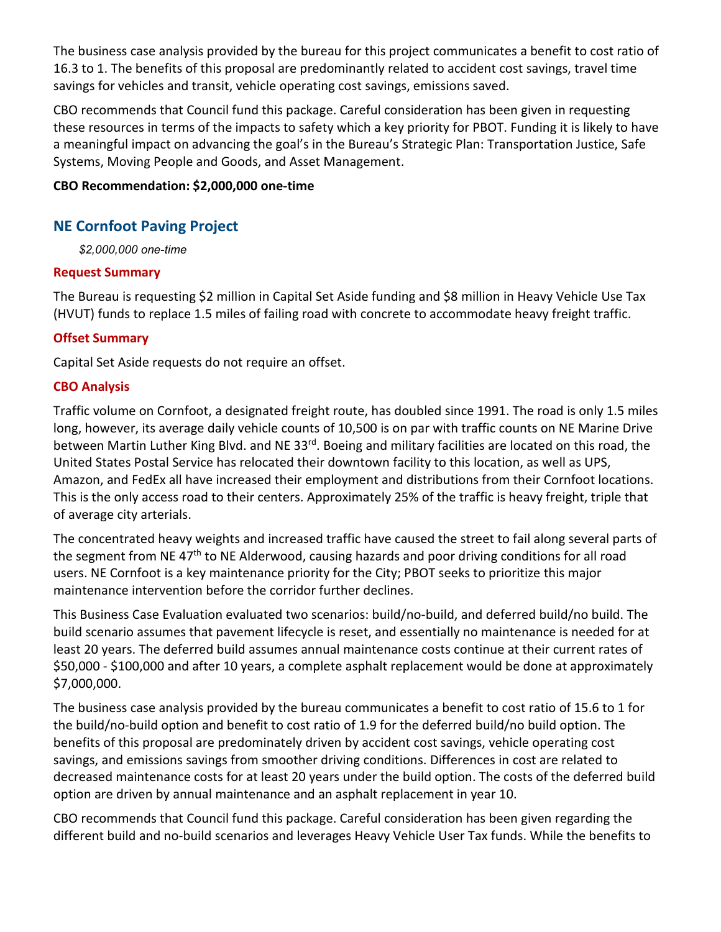The business case analysis provided by the bureau for this project communicates a benefit to cost ratio of 16.3 to 1. The benefits of this proposal are predominantly related to accident cost savings, travel time savings for vehicles and transit, vehicle operating cost savings, emissions saved.

CBO recommends that Council fund this package. Careful consideration has been given in requesting these resources in terms of the impacts to safety which a key priority for PBOT. Funding it is likely to have a meaningful impact on advancing the goal's in the Bureau's Strategic Plan: Transportation Justice, Safe Systems, Moving People and Goods, and Asset Management.

#### **CBO Recommendation: \$2,000,000 one-time**

# **NE Cornfoot Paving Project**

*\$2,000,000 one-time*

## **Request Summary**

The Bureau is requesting \$2 million in Capital Set Aside funding and \$8 million in Heavy Vehicle Use Tax (HVUT) funds to replace 1.5 miles of failing road with concrete to accommodate heavy freight traffic.

# **Offset Summary**

Capital Set Aside requests do not require an offset.

## **CBO Analysis**

Traffic volume on Cornfoot, a designated freight route, has doubled since 1991. The road is only 1.5 miles long, however, its average daily vehicle counts of 10,500 is on par with traffic counts on NE Marine Drive between Martin Luther King Blvd. and NE 33<sup>rd</sup>. Boeing and military facilities are located on this road, the United States Postal Service has relocated their downtown facility to this location, as well as UPS, Amazon, and FedEx all have increased their employment and distributions from their Cornfoot locations. This is the only access road to their centers. Approximately 25% of the traffic is heavy freight, triple that of average city arterials.

The concentrated heavy weights and increased traffic have caused the street to fail along several parts of the segment from NE 47<sup>th</sup> to NE Alderwood, causing hazards and poor driving conditions for all road users. NE Cornfoot is a key maintenance priority for the City; PBOT seeks to prioritize this major maintenance intervention before the corridor further declines.

This Business Case Evaluation evaluated two scenarios: build/no-build, and deferred build/no build. The build scenario assumes that pavement lifecycle is reset, and essentially no maintenance is needed for at least 20 years. The deferred build assumes annual maintenance costs continue at their current rates of \$50,000 - \$100,000 and after 10 years, a complete asphalt replacement would be done at approximately \$7,000,000.

The business case analysis provided by the bureau communicates a benefit to cost ratio of 15.6 to 1 for the build/no-build option and benefit to cost ratio of 1.9 for the deferred build/no build option. The benefits of this proposal are predominately driven by accident cost savings, vehicle operating cost savings, and emissions savings from smoother driving conditions. Differences in cost are related to decreased maintenance costs for at least 20 years under the build option. The costs of the deferred build option are driven by annual maintenance and an asphalt replacement in year 10.

CBO recommends that Council fund this package. Careful consideration has been given regarding the different build and no-build scenarios and leverages Heavy Vehicle User Tax funds. While the benefits to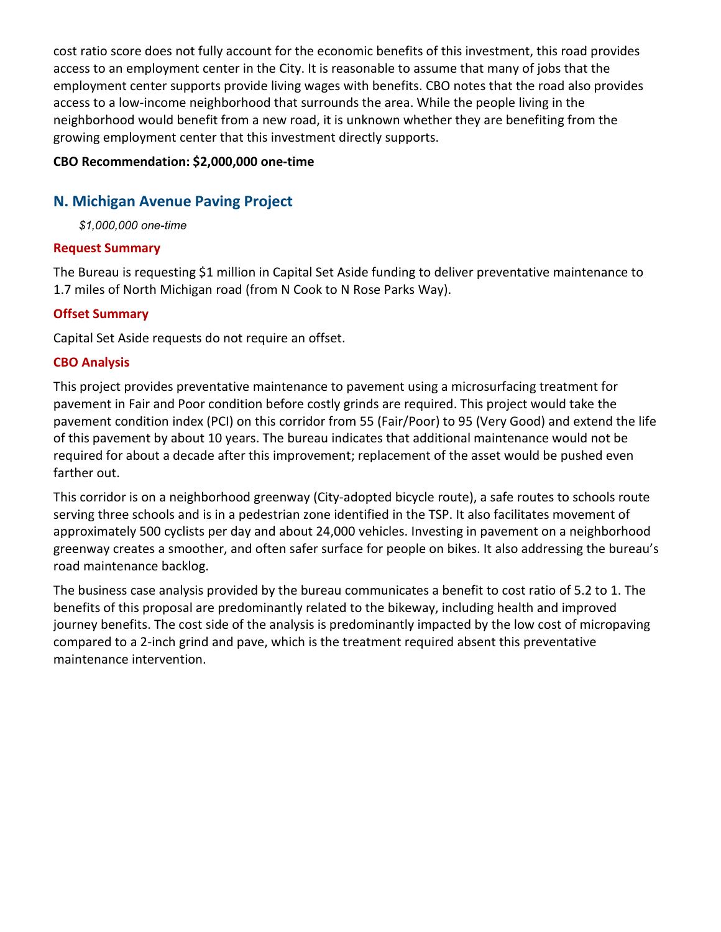cost ratio score does not fully account for the economic benefits of this investment, this road provides access to an employment center in the City. It is reasonable to assume that many of jobs that the employment center supports provide living wages with benefits. CBO notes that the road also provides access to a low-income neighborhood that surrounds the area. While the people living in the neighborhood would benefit from a new road, it is unknown whether they are benefiting from the growing employment center that this investment directly supports.

## **CBO Recommendation: \$2,000,000 one-time**

# **N. Michigan Avenue Paving Project**

*\$1,000,000 one-time*

## **Request Summary**

The Bureau is requesting \$1 million in Capital Set Aside funding to deliver preventative maintenance to 1.7 miles of North Michigan road (from N Cook to N Rose Parks Way).

# **Offset Summary**

Capital Set Aside requests do not require an offset.

## **CBO Analysis**

This project provides preventative maintenance to pavement using a microsurfacing treatment for pavement in Fair and Poor condition before costly grinds are required. This project would take the pavement condition index (PCI) on this corridor from 55 (Fair/Poor) to 95 (Very Good) and extend the life of this pavement by about 10 years. The bureau indicates that additional maintenance would not be required for about a decade after this improvement; replacement of the asset would be pushed even farther out.

This corridor is on a neighborhood greenway (City-adopted bicycle route), a safe routes to schools route serving three schools and is in a pedestrian zone identified in the TSP. It also facilitates movement of approximately 500 cyclists per day and about 24,000 vehicles. Investing in pavement on a neighborhood greenway creates a smoother, and often safer surface for people on bikes. It also addressing the bureau's road maintenance backlog.

The business case analysis provided by the bureau communicates a benefit to cost ratio of 5.2 to 1. The benefits of this proposal are predominantly related to the bikeway, including health and improved journey benefits. The cost side of the analysis is predominantly impacted by the low cost of micropaving compared to a 2-inch grind and pave, which is the treatment required absent this preventative maintenance intervention.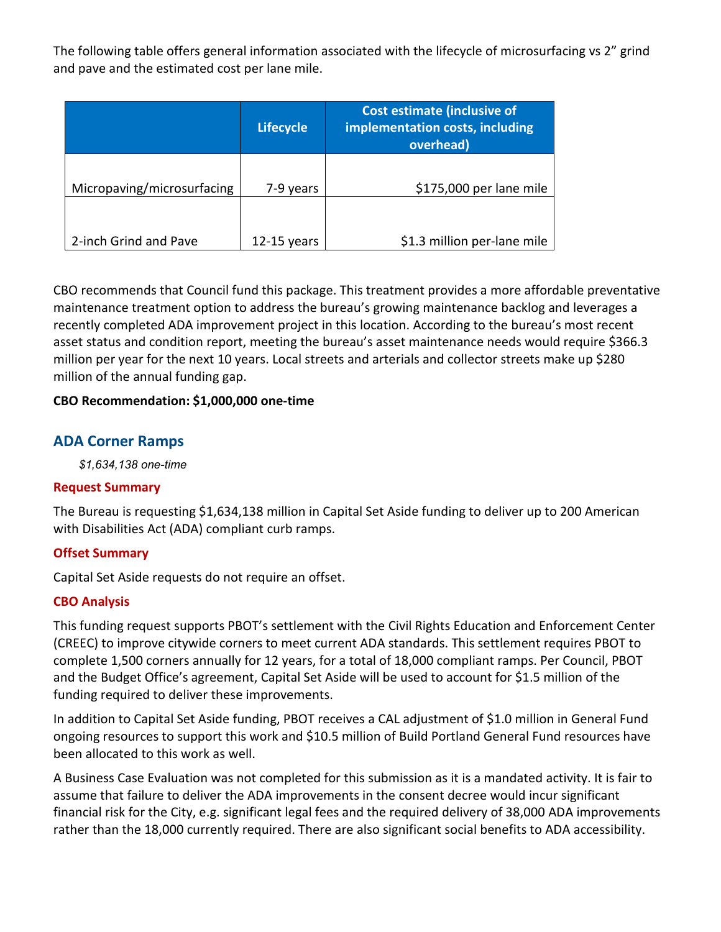The following table offers general information associated with the lifecycle of microsurfacing vs 2" grind and pave and the estimated cost per lane mile.

|                            | <b>Lifecycle</b> | <b>Cost estimate (inclusive of</b><br>implementation costs, including<br>overhead) |  |  |
|----------------------------|------------------|------------------------------------------------------------------------------------|--|--|
| Micropaving/microsurfacing | 7-9 years        | \$175,000 per lane mile                                                            |  |  |
| 2-inch Grind and Pave      | $12-15$ years    | \$1.3 million per-lane mile                                                        |  |  |

CBO recommends that Council fund this package. This treatment provides a more affordable preventative maintenance treatment option to address the bureau's growing maintenance backlog and leverages a recently completed ADA improvement project in this location. According to the bureau's most recent asset status and condition report, meeting the bureau's asset maintenance needs would require \$366.3 million per year for the next 10 years. Local streets and arterials and collector streets make up \$280 million of the annual funding gap.

## **CBO Recommendation: \$1,000,000 one-time**

# **ADA Corner Ramps**

*\$1,634,138 one-time*

## **Request Summary**

The Bureau is requesting \$1,634,138 million in Capital Set Aside funding to deliver up to 200 American with Disabilities Act (ADA) compliant curb ramps.

## **Offset Summary**

Capital Set Aside requests do not require an offset.

## **CBO Analysis**

This funding request supports PBOT's settlement with the Civil Rights Education and Enforcement Center (CREEC) to improve citywide corners to meet current ADA standards. This settlement requires PBOT to complete 1,500 corners annually for 12 years, for a total of 18,000 compliant ramps. Per Council, PBOT and the Budget Office's agreement, Capital Set Aside will be used to account for \$1.5 million of the funding required to deliver these improvements.

In addition to Capital Set Aside funding, PBOT receives a CAL adjustment of \$1.0 million in General Fund ongoing resources to support this work and \$10.5 million of Build Portland General Fund resources have been allocated to this work as well.

A Business Case Evaluation was not completed for this submission as it is a mandated activity. It is fair to assume that failure to deliver the ADA improvements in the consent decree would incur significant financial risk for the City, e.g. significant legal fees and the required delivery of 38,000 ADA improvements rather than the 18,000 currently required. There are also significant social benefits to ADA accessibility.